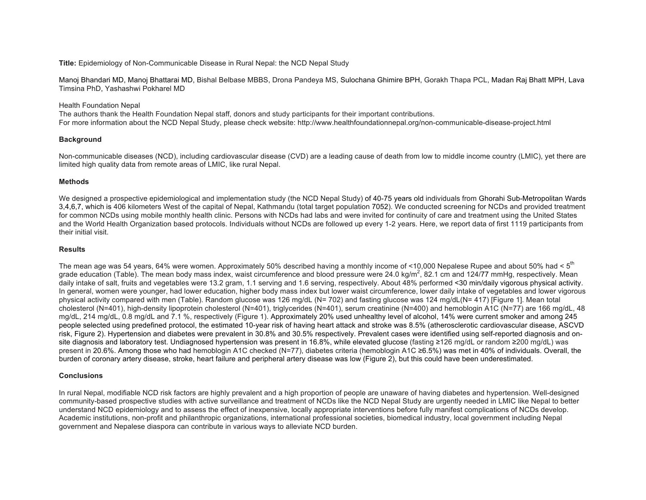**Title:** Epidemiology of Non-Communicable Disease in Rural Nepal: the NCD Nepal Study

Manoj Bhandari MD, Manoj Bhattarai MD, Bishal Belbase MBBS, Drona Pandeya MS, Sulochana Ghimire BPH, Gorakh Thapa PCL, Madan Raj Bhatt MPH, Lava Timsina PhD, Yashashwi Pokharel MD

Health Foundation Nepal

The authors thank the Health Foundation Nepal staff, donors and study participants for their important contributions. For more information about the NCD Nepal Study, please check website: http://www.healthfoundationnepal.org/non-communicable-disease-project.html

# **Background**

Non-communicable diseases (NCD), including cardiovascular disease (CVD) are a leading cause of death from low to middle income country (LMIC), yet there are limited high quality data from remote areas of LMIC, like rural Nepal.

# **Methods**

We desianed a prospective epidemiological and implementation study (the NCD Nepal Study) of 40-75 years old individuals from Ghorahi Sub-Metropolitan Wards 3,4,6,7, which is 406 kilometers West of the capital of Nepal, Kathmandu (total target population 7052). We conducted screening for NCDs and provided treatment for common NCDs using mobile monthly health clinic. Persons with NCDs had labs and were invited for continuity of care and treatment using the United States and the World Health Organization based protocols. Individuals without NCDs are followed up every 1-2 years. Here, we report data of first 1119 participants from their initial visit.

# **Results**

The mean age was 54 years, 64% were women. Approximately 50% described having a monthly income of <10,000 Nepalese Rupee and about 50% had <  $5<sup>m</sup>$ grade education (Table). The mean body mass index, waist circumference and blood pressure were 24.0 kg/m<sup>2</sup>, 82.1 cm and 124/77 mmHg, respectively. Mean daily intake of salt, fruits and vegetables were 13.2 gram, 1.1 serving and 1.6 serving, respectively. About 48% performed <30 min/daily vigorous physical activity. In general, women were younger, had lower education, higher body mass index but lower waist circumference, lower daily intake of vegetables and lower vigorous physical activity compared with men (Table). Random glucose was 126 mg/dL (N= 702) and fasting glucose was 124 mg/dL(N= 417) [Figure 1]. Mean total cholesterol (N=401), high-density lipoprotein cholesterol (N=401), triglycerides (N=401), serum creatinine (N=400) and hemoblogin A1C (N=77) are 166 mg/dL, 48 mg/dL, 214 mg/dL, 0.8 mg/dL and 7.1 %, respectively (Figure 1). Approximately 20% used unhealthy level of alcohol, 14% were current smoker and among 245 people selected using predefined protocol, the estimated 10-year risk of having heart attack and stroke was 8.5% (atherosclerotic cardiovascular disease, ASCVD risk, Figure 2). Hypertension and diabetes were prevalent in 30.8% and 30.5% respectively. Prevalent cases were identified using self-reported diagnosis and onsite diagnosis and laboratory test. Undiagnosed hypertension was present in 16.8%, while elevated glucose (fasting ≥126 mg/dL or random ≥200 mg/dL) was present in 20.6%. Among those who had hemoblogin A1C checked (N=77), diabetes criteria (hemoblogin A1C ≥6.5%) was met in 40% of individuals. Overall, the burden of coronary artery disease, stroke, heart failure and peripheral artery disease was low (Figure 2), but this could have been underestimated.

### **Conclusions**

In rural Nepal, modifiable NCD risk factors are highly prevalent and a high proportion of people are unaware of having diabetes and hypertension. Well-designed community-based prospective studies with active surveillance and treatment of NCDs like the NCD Nepal Study are urgently needed in LMIC like Nepal to better understand NCD epidemiology and to assess the effect of inexpensive, locally appropriate interventions before fully manifest complications of NCDs develop. Academic institutions, non-profit and philanthropic organizations, international professional societies, biomedical industry, local government including Nepal government and Nepalese diaspora can contribute in various ways to alleviate NCD burden.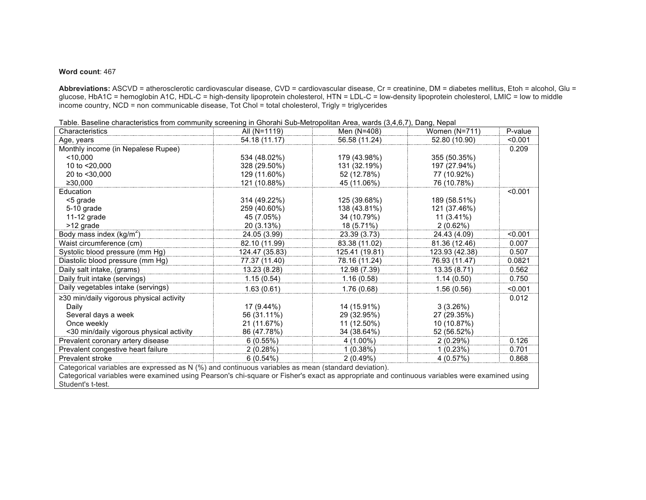### **Word count**: 467

Abbreviations: ASCVD = atherosclerotic cardiovascular disease, CVD = cardiovascular disease, Cr = creatinine, DM = diabetes mellitus, Etoh = alcohol, Glu = glucose, HbA1C = hemoglobin A1C, HDL-C = high-density lipoprotein cholesterol, HTN = LDL-C = low-density lipoprotein cholesterol, LMIC = low to middle income country, NCD = non communicable disease, Tot Chol = total cholesterol, Trigly = triglycerides

| able. Bacomic characteristics home community corooming in Onelain oub metropolitan rirod, wardo (0, 1,0,1 ), Bang, Hopar<br>Characteristics  | All (N=1119)   | Men (N=408)    | Women $(N=711)$ | P-value |
|----------------------------------------------------------------------------------------------------------------------------------------------|----------------|----------------|-----------------|---------|
| Age, years                                                                                                                                   | 54.18 (11.17)  | 56.58 (11.24)  | 52.80 (10.90)   | < 0.001 |
| Monthly income (in Nepalese Rupee)                                                                                                           |                |                |                 | 0.209   |
| < 10.000                                                                                                                                     | 534 (48.02%)   | 179 (43.98%)   | 355 (50.35%)    |         |
| 10 to <20,000                                                                                                                                | 328 (29.50%)   | 131 (32.19%)   | 197 (27.94%)    |         |
| 20 to <30,000                                                                                                                                | 129 (11.60%)   | 52 (12.78%)    | 77 (10.92%)     |         |
| ≥30,000                                                                                                                                      | 121 (10.88%)   | 45 (11.06%)    | 76 (10.78%)     |         |
| Education                                                                                                                                    |                |                |                 | < 0.001 |
| <5 grade                                                                                                                                     | 314 (49.22%)   | 125 (39.68%)   | 189 (58.51%)    |         |
| 5-10 grade                                                                                                                                   | 259 (40.60%)   | 138 (43.81%)   | 121 (37.46%)    |         |
| 11-12 grade                                                                                                                                  | 45 (7.05%)     | 34 (10.79%)    | $11(3.41\%)$    |         |
| >12 grade                                                                                                                                    | 20 (3.13%)     | 18 (5.71%)     | $2(0.62\%)$     |         |
| Body mass index ( $kg/m2$ )                                                                                                                  | 24.05 (3.99)   | 23.39 (3.73)   | 24.43 (4.09)    | < 0.001 |
| Waist circumference (cm)                                                                                                                     | 82.10 (11.99)  | 83.38 (11.02)  | 81.36 (12.46)   | 0.007   |
| Systolic blood pressure (mm Hg)                                                                                                              | 124.47 (35.83) | 125.41 (19.81) | 123.93 (42.38)  | 0.507   |
| Diastolic blood pressure (mm Hg)                                                                                                             | 77.37 (11.40)  | 78.16 (11.24)  | 76.93 (11.47)   | 0.0821  |
| Daily salt intake, (grams)                                                                                                                   | 13.23 (8.28)   | 12.98 (7.39)   | 13.35 (8.71)    | 0.562   |
| Daily fruit intake (servings)                                                                                                                | 1.15(0.54)     | 1.16(0.58)     | 1.14(0.50)      | 0.750   |
| Daily vegetables intake (servings)                                                                                                           | 1.63(0.61)     | 1.76(0.68)     | 1.56(0.56)      | < 0.001 |
| $\geq$ 30 min/daily vigorous physical activity                                                                                               |                |                |                 | 0.012   |
| Daily                                                                                                                                        | 17 (9.44%)     | 14 (15.91%)    | 3(3.26%)        |         |
| Several days a week                                                                                                                          | 56 (31.11%)    | 29 (32.95%)    | 27 (29.35%)     |         |
| Once weekly                                                                                                                                  | 21 (11.67%)    | 11 (12.50%)    | 10 (10.87%)     |         |
| <30 min/daily vigorous physical activity                                                                                                     | 86 (47.78%)    | 34 (38.64%)    | 52 (56.52%)     |         |
| Prevalent coronary artery disease                                                                                                            | 6(0.55%)       | $4(1.00\%)$    | 2(0.29%)        | 0.126   |
| Prevalent congestive heart failure                                                                                                           | 2(0.28%)       | 1(0.38%)       | 1(0.23%)        | 0.701   |
| Prevalent stroke                                                                                                                             | $6(0.54\%)$    | $2(0.49\%)$    | 4(0.57%)        | 0.868   |
| Categorical variables are expressed as N (%) and continuous variables as mean (standard deviation).                                          |                |                |                 |         |
| Categorical variables were examined using Pearson's chi-square or Fisher's exact as appropriate and continuous variables were examined using |                |                |                 |         |
| Student's t-test.                                                                                                                            |                |                |                 |         |

Table. Baseline characteristics from community screening in Ghorahi Sub-Metropolitan Area, wards (3,4,6,7), Dang, Nepal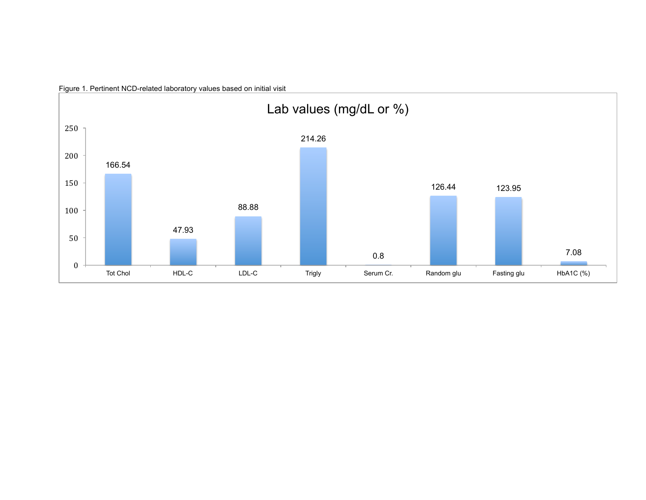

Figure 1. Pertinent NCD-related laboratory values based on initial visit